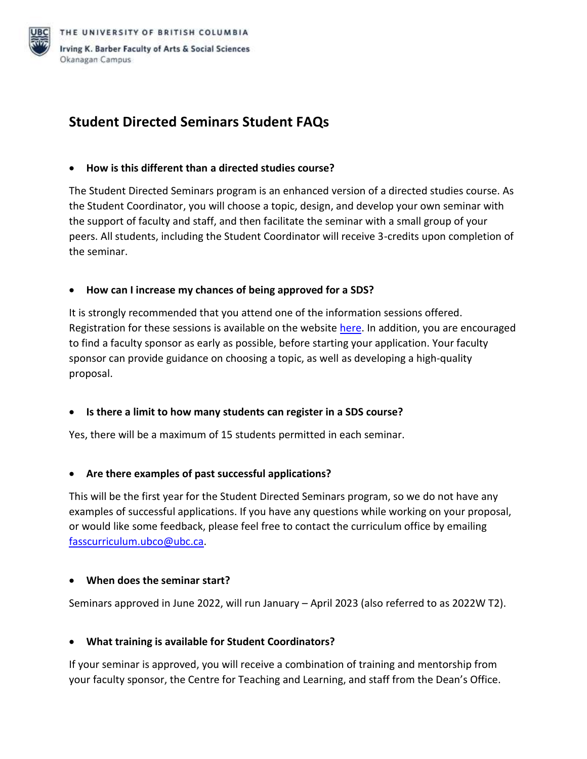

# **Student Directed Seminars Student FAQs**

#### • **How is this different than a directed studies course?**

The Student Directed Seminars program is an enhanced version of a directed studies course. As the Student Coordinator, you will choose a topic, design, and develop your own seminar with the support of faculty and staff, and then facilitate the seminar with a small group of your peers. All students, including the Student Coordinator will receive 3-credits upon completion of the seminar.

# • **How can I increase my chances of being approved for a SDS?**

It is strongly recommended that you attend one of the information sessions offered. Registration for these sessions is available on the website [here.](https://fass.ok.ubc.ca/student-resources/undergrad/student-directed-seminars/?msclkid=6c7a3608c63e11ecb58b57adc43808f0) In addition, you are encouraged to find a faculty sponsor as early as possible, before starting your application. Your faculty sponsor can provide guidance on choosing a topic, as well as developing a high-quality proposal.

#### • **Is there a limit to how many students can register in a SDS course?**

Yes, there will be a maximum of 15 students permitted in each seminar.

# • **Are there examples of past successful applications?**

This will be the first year for the Student Directed Seminars program, so we do not have any examples of successful applications. If you have any questions while working on your proposal, or would like some feedback, please feel free to contact the curriculum office by emailing [fasscurriculum.ubco@ubc.ca.](mailto:fasscurriculum.ubco@ubc.ca)

#### • **When does the seminar start?**

Seminars approved in June 2022, will run January – April 2023 (also referred to as 2022W T2).

#### • **What training is available for Student Coordinators?**

If your seminar is approved, you will receive a combination of training and mentorship from your faculty sponsor, the Centre for Teaching and Learning, and staff from the Dean's Office.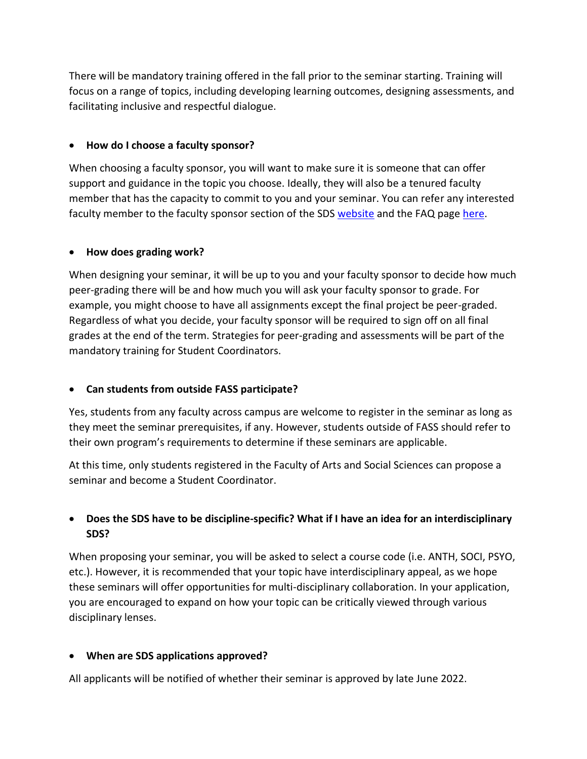There will be mandatory training offered in the fall prior to the seminar starting. Training will focus on a range of topics, including developing learning outcomes, designing assessments, and facilitating inclusive and respectful dialogue.

### • **How do I choose a faculty sponsor?**

When choosing a faculty sponsor, you will want to make sure it is someone that can offer support and guidance in the topic you choose. Ideally, they will also be a tenured faculty member that has the capacity to commit to you and your seminar. You can refer any interested faculty member to the faculty sponsor section of the SDS [website](https://fass.ok.ubc.ca/student-resources/undergrad/student-directed-seminars/?msclkid=6c7a3608c63e11ecb58b57adc43808f0) and the FAQ pag[e here.](https://fass.cms.ok.ubc.ca/wp-content/uploads/sites/131/2022/03/Student-Directed-Seminars-Faculty-Sponsor-FAQ.pdf)

# • **How does grading work?**

When designing your seminar, it will be up to you and your faculty sponsor to decide how much peer-grading there will be and how much you will ask your faculty sponsor to grade. For example, you might choose to have all assignments except the final project be peer-graded. Regardless of what you decide, your faculty sponsor will be required to sign off on all final grades at the end of the term. Strategies for peer-grading and assessments will be part of the mandatory training for Student Coordinators.

# • **Can students from outside FASS participate?**

Yes, students from any faculty across campus are welcome to register in the seminar as long as they meet the seminar prerequisites, if any. However, students outside of FASS should refer to their own program's requirements to determine if these seminars are applicable.

At this time, only students registered in the Faculty of Arts and Social Sciences can propose a seminar and become a Student Coordinator.

# • **Does the SDS have to be discipline-specific? What if I have an idea for an interdisciplinary SDS?**

When proposing your seminar, you will be asked to select a course code (i.e. ANTH, SOCI, PSYO, etc.). However, it is recommended that your topic have interdisciplinary appeal, as we hope these seminars will offer opportunities for multi-disciplinary collaboration. In your application, you are encouraged to expand on how your topic can be critically viewed through various disciplinary lenses.

#### • **When are SDS applications approved?**

All applicants will be notified of whether their seminar is approved by late June 2022.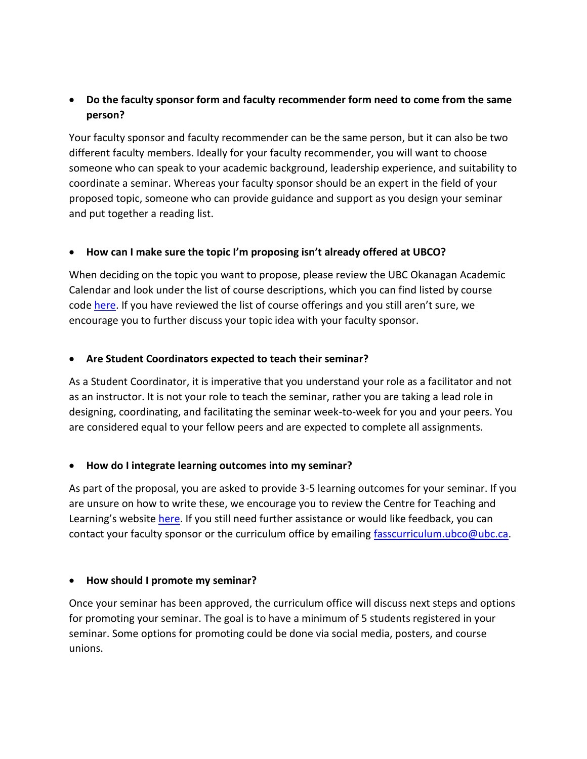# • **Do the faculty sponsor form and faculty recommender form need to come from the same person?**

Your faculty sponsor and faculty recommender can be the same person, but it can also be two different faculty members. Ideally for your faculty recommender, you will want to choose someone who can speak to your academic background, leadership experience, and suitability to coordinate a seminar. Whereas your faculty sponsor should be an expert in the field of your proposed topic, someone who can provide guidance and support as you design your seminar and put together a reading list.

# • **How can I make sure the topic I'm proposing isn't already offered at UBCO?**

When deciding on the topic you want to propose, please review the UBC Okanagan Academic Calendar and look under the list of course descriptions, which you can find listed by course code [here.](https://www.calendar.ubc.ca/okanagan/courses.cfm?go=code&institution=3) If you have reviewed the list of course offerings and you still aren't sure, we encourage you to further discuss your topic idea with your faculty sponsor.

#### • **Are Student Coordinators expected to teach their seminar?**

As a Student Coordinator, it is imperative that you understand your role as a facilitator and not as an instructor. It is not your role to teach the seminar, rather you are taking a lead role in designing, coordinating, and facilitating the seminar week-to-week for you and your peers. You are considered equal to your fellow peers and are expected to complete all assignments.

#### • **How do I integrate learning outcomes into my seminar?**

As part of the proposal, you are asked to provide 3-5 learning outcomes for your seminar. If you are unsure on how to write these, we encourage you to review the Centre for Teaching and Learning's website [here.](https://ctl.ok.ubc.ca/teaching-effectively/course-design/learning-outcomes/) If you still need further assistance or would like feedback, you can contact your faculty sponsor or the curriculum office by emailing [fasscurriculum.ubco@ubc.ca.](mailto:fasscurriculum.ubco@ubc.ca)

#### • **How should I promote my seminar?**

Once your seminar has been approved, the curriculum office will discuss next steps and options for promoting your seminar. The goal is to have a minimum of 5 students registered in your seminar. Some options for promoting could be done via social media, posters, and course unions.